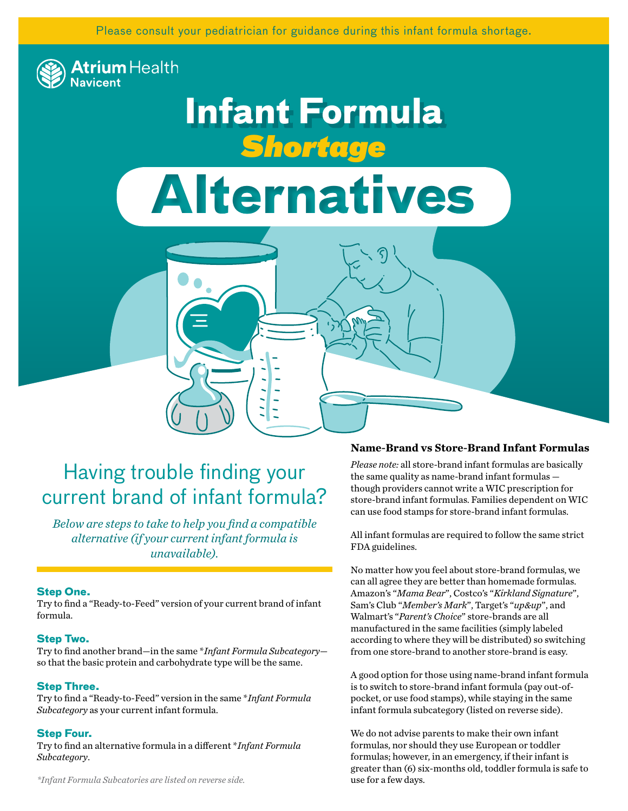Please consult your pediatrician for guidance during this infant formula shortage.



## **Infant Formula** *Shortage*

# **Alternatives**

## Having trouble finding your current brand of infant formula?

*Below are steps to take to help you find a compatible alternative (if your current infant formula is unavailable).* 

#### **Step One.**

Try to find a "Ready-to-Feed" version of your current brand of infant formula.

#### **Step Two.**

Try to find another brand—in the same \**Infant Formula Subcategory* so that the basic protein and carbohydrate type will be the same.

#### **Step Three.**

Try to find a "Ready-to-Feed" version in the same \**Infant Formula Subcategory* as your current infant formula.

#### **Step Four.**

Try to find an alternative formula in a different \**Infant Formula Subcategory*.

*\*Infant Formula Subcatories are listed on reverse side.*

#### **Name-Brand vs Store-Brand Infant Formulas**

*Please note:* all store-brand infant formulas are basically the same quality as name-brand infant formulas though providers cannot write a WIC prescription for store-brand infant formulas. Families dependent on WIC can use food stamps for store-brand infant formulas.

All infant formulas are required to follow the same strict FDA guidelines.

No matter how you feel about store-brand formulas, we can all agree they are better than homemade formulas. Amazon's "*Mama Bear*", Costco's "*Kirkland Signature*", Sam's Club "*Member's Mark*", Target's "*up&up*", and Walmart's "*Parent's Choice*" store-brands are all manufactured in the same facilities (simply labeled according to where they will be distributed) so switching from one store-brand to another store-brand is easy.

A good option for those using name-brand infant formula is to switch to store-brand infant formula (pay out-ofpocket, or use food stamps), while staying in the same infant formula subcategory (listed on reverse side).

We do not advise parents to make their own infant formulas, nor should they use European or toddler formulas; however, in an emergency, if their infant is greater than (6) six-months old, toddler formula is safe to use for a few days.